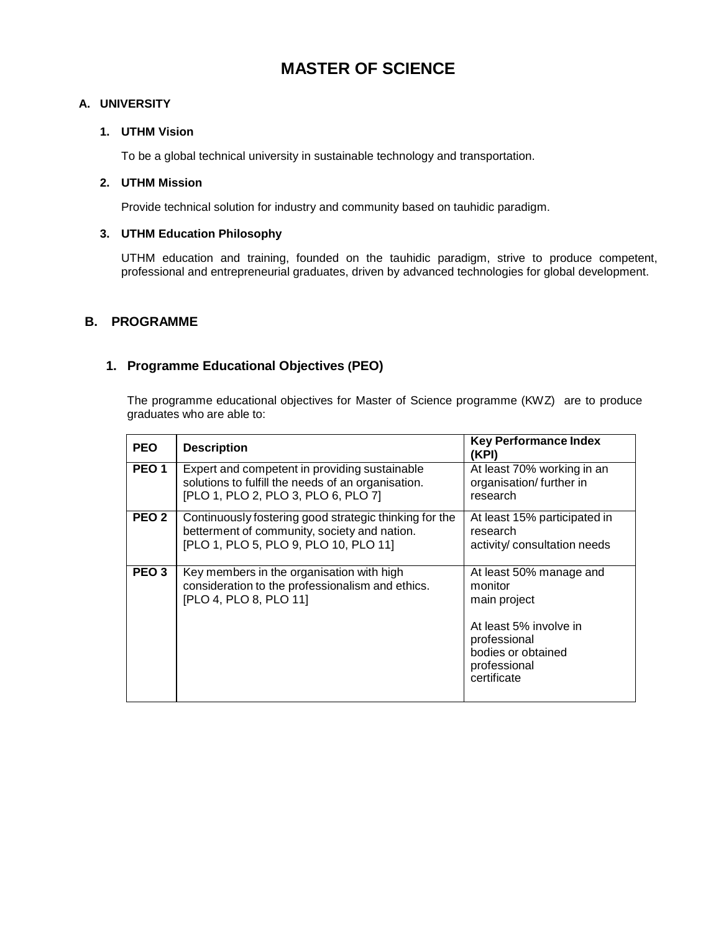# **MASTER OF SCIENCE**

#### **A. UNIVERSITY**

#### **1. UTHM Vision**

To be a global technical university in sustainable technology and transportation.

#### **2. UTHM Mission**

Provide technical solution for industry and community based on tauhidic paradigm.

#### **3. UTHM Education Philosophy**

UTHM education and training, founded on the tauhidic paradigm, strive to produce competent, professional and entrepreneurial graduates, driven by advanced technologies for global development.

#### **B. PROGRAMME**

### **1. Programme Educational Objectives (PEO)**

The programme educational objectives for Master of Science programme (KWZ) are to produce graduates who are able to:

| <b>PEO</b>       | <b>Description</b>                                                                                                                              | <b>Key Performance Index</b><br>(KPI)                                                                                                             |
|------------------|-------------------------------------------------------------------------------------------------------------------------------------------------|---------------------------------------------------------------------------------------------------------------------------------------------------|
| PEO <sub>1</sub> | Expert and competent in providing sustainable<br>solutions to fulfill the needs of an organisation.<br>[PLO 1, PLO 2, PLO 3, PLO 6, PLO 7]      | At least 70% working in an<br>organisation/further in<br>research                                                                                 |
| PEO <sub>2</sub> | Continuously fostering good strategic thinking for the<br>betterment of community, society and nation.<br>[PLO 1, PLO 5, PLO 9, PLO 10, PLO 11] | At least 15% participated in<br>research<br>activity/ consultation needs                                                                          |
| PEO <sub>3</sub> | Key members in the organisation with high<br>consideration to the professionalism and ethics.<br>[PLO 4, PLO 8, PLO 11]                         | At least 50% manage and<br>monitor<br>main project<br>At least 5% involve in<br>professional<br>bodies or obtained<br>professional<br>certificate |